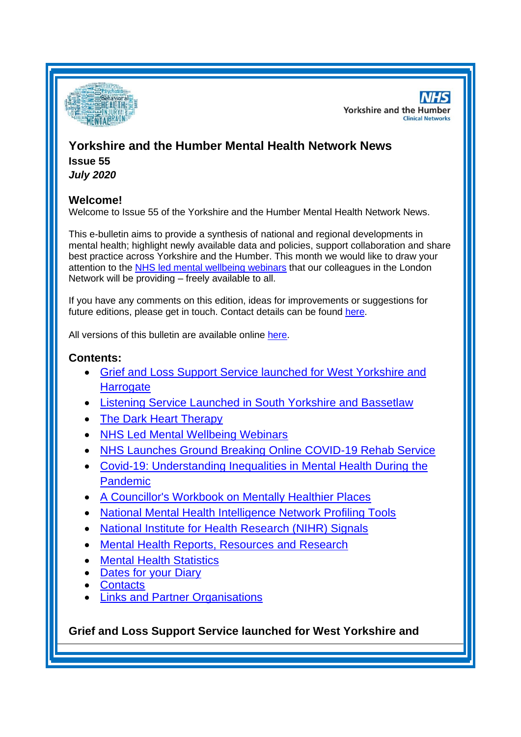

**NHS Yorkshire and the Humber Clinical Networks** 

# **Yorkshire and the Humber Mental Health Network News Issue 55**

*July 2020*

# **Welcome!**

Welcome to Issue 55 of the Yorkshire and the Humber Mental Health Network News.

This e-bulletin aims to provide a synthesis of national and regional developments in mental health; highlight newly available data and policies, support collaboration and share best practice across Yorkshire and the Humber. This month we would like to draw your attention to the [NHS led mental wellbeing webinars](#page-2-0) that our colleagues in the London Network will be providing – freely available to all.

If you have any comments on this edition, ideas for improvements or suggestions for future editions, please get in touch. Contact details can be found [here.](#page-7-0)

All versions of this bulletin are available online [here.](http://www.yhscn.nhs.uk/mental-health-clinic/mental-health-network/MH-documents-and-links.php)

# **Contents:**

- [Grief and Loss Support Service launched for West Yorkshire and](#page-0-0)  **[Harrogate](#page-0-0)**
- [Listening Service Launched in South Yorkshire and Bassetlaw](#page-1-0)
- [The Dark Heart Therapy](#page-1-1)
- [NHS Led Mental Wellbeing Webinars](#page-2-0)
- **[NHS Launches Ground Breaking Online COVID-19 Rehab Service](#page-2-0)**
- [Covid-19: Understanding Inequalities in Mental Health During](#page-2-0) the [Pandemic](#page-2-0)
- [A Councillor's Workbook on Mentally Healthier Places](#page-2-1)
- [National Mental Health Intelligence Network Profiling Tools](#page-2-2)
- [National Institute for Health Research \(NIHR\) Signals](#page-3-0)
- [Mental Health Reports, Resources and](#page-3-1) Research
- **[Mental Health Statistics](#page-5-0)**
- **[Dates for your Diary](#page-5-1)**
- **[Contacts](#page-7-0)**
- [Links and Partner Organisations](#page-7-1)

<span id="page-0-0"></span>**Grief and Loss Support Service launched for West Yorkshire and**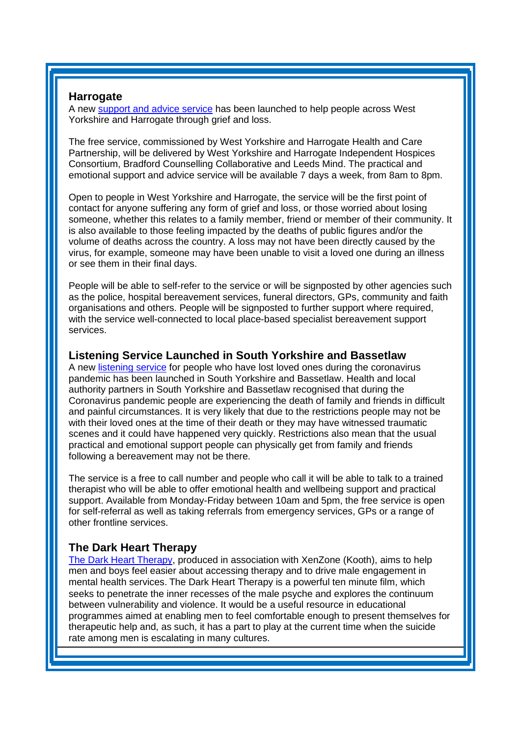### **Harrogate**

A new [support and advice service](https://www.wyhpartnership.co.uk/our-priorities/mental-health/grief-and-loss-support-service) has been launched to help people across West Yorkshire and Harrogate through grief and loss.

The free service, commissioned by West Yorkshire and Harrogate Health and Care Partnership, will be delivered by West Yorkshire and Harrogate Independent Hospices Consortium, Bradford Counselling Collaborative and Leeds Mind. The practical and emotional support and advice service will be available 7 days a week, from 8am to 8pm.

Open to people in West Yorkshire and Harrogate, the service will be the first point of contact for anyone suffering any form of grief and loss, or those worried about losing someone, whether this relates to a family member, friend or member of their community. It is also available to those feeling impacted by the deaths of public figures and/or the volume of deaths across the country. A loss may not have been directly caused by the virus, for example, someone may have been unable to visit a loved one during an illness or see them in their final days.

People will be able to self-refer to the service or will be signposted by other agencies such as the police, hospital bereavement services, funeral directors, GPs, community and faith organisations and others. People will be signposted to further support where required, with the service well-connected to local place-based specialist bereavement support services.

#### <span id="page-1-0"></span>**Listening Service Launched in South Yorkshire and Bassetlaw**

A new [listening service](https://listening-ear.co.uk/support-for-those-bereaved-during-the-coronavirus-pandemic-in-south-yorks-and-bassetlaw/) for people who have lost loved ones during the coronavirus pandemic has been launched in South Yorkshire and Bassetlaw. Health and local authority partners in South Yorkshire and Bassetlaw recognised that during the Coronavirus pandemic people are experiencing the death of family and friends in difficult and painful circumstances. It is very likely that due to the restrictions people may not be with their loved ones at the time of their death or they may have witnessed traumatic scenes and it could have happened very quickly. Restrictions also mean that the usual practical and emotional support people can physically get from family and friends following a bereavement may not be there.

The service is a free to call number and people who call it will be able to talk to a trained therapist who will be able to offer emotional health and wellbeing support and practical support. Available from Monday-Friday between 10am and 5pm, the free service is open for self-referral as well as taking referrals from emergency services, GPs or a range of other frontline services.

# <span id="page-1-1"></span>**The Dark Heart Therapy**

[The Dark Heart Therapy,](https://www.oliverwilliamstherapy.com/the-dark-heart-therapy.html) produced in association with XenZone (Kooth), aims to help men and boys feel easier about accessing therapy and to drive male engagement in mental health services. The Dark Heart Therapy is a powerful ten minute film, which seeks to penetrate the inner recesses of the male psyche and explores the continuum between vulnerability and violence. It would be a useful resource in educational programmes aimed at enabling men to feel comfortable enough to present themselves for therapeutic help and, as such, it has a part to play at the current time when the suicide rate among men is escalating in many cultures.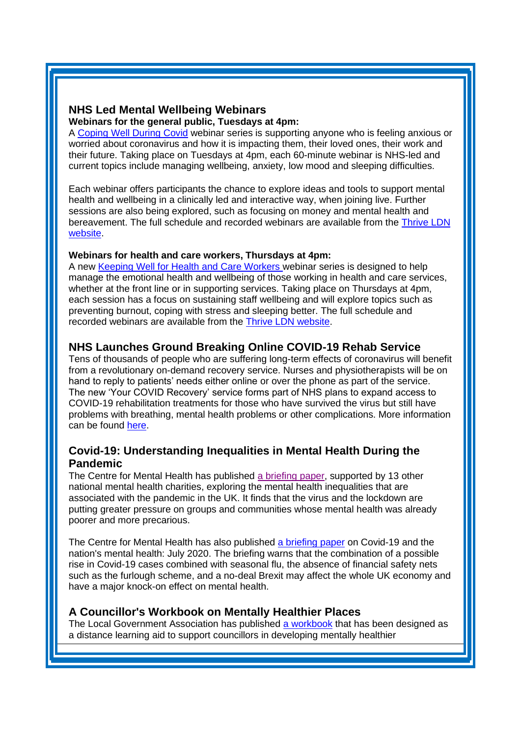#### <span id="page-2-2"></span><span id="page-2-0"></span>**NHS Led Mental Wellbeing Webinars Webinars for the general public, Tuesdays at 4pm:**

A [Coping Well During Covid](https://gbr01.safelinks.protection.outlook.com/?url=https%3A%2F%2Fthriveldn.co.uk%2Fresources%2Fcoping-well-during-covid%2F&data=01%7C01%7C%7C0aa87ea68fcd47f8f6b708d818f1b6f4%7C9fe658cdb3cd405685193222ffa96be8%7C1&sdata=AIU%2F0vj5F2gb2UNr5kuGWGdshRiwitxItQPfaVwearo%3D&reserved=0) webinar series is supporting anyone who is feeling anxious or worried about coronavirus and how it is impacting them, their loved ones, their work and their future. Taking place on Tuesdays at 4pm, each 60-minute webinar is NHS-led and current topics include managing wellbeing, anxiety, low mood and sleeping difficulties.

Each webinar offers participants the chance to explore ideas and tools to support mental health and wellbeing in a clinically led and interactive way, when joining live. Further sessions are also being explored, such as focusing on money and mental health and bereavement. The full schedule and recorded webinars are available from the [Thrive LDN](https://gbr01.safelinks.protection.outlook.com/?url=https%3A%2F%2Fthriveldn.co.uk%2Fresources%2Fcoping-well-during-covid%2F&data=01%7C01%7C%7C0aa87ea68fcd47f8f6b708d818f1b6f4%7C9fe658cdb3cd405685193222ffa96be8%7C1&sdata=AIU%2F0vj5F2gb2UNr5kuGWGdshRiwitxItQPfaVwearo%3D&reserved=0)  [website.](https://gbr01.safelinks.protection.outlook.com/?url=https%3A%2F%2Fthriveldn.co.uk%2Fresources%2Fcoping-well-during-covid%2F&data=01%7C01%7C%7C0aa87ea68fcd47f8f6b708d818f1b6f4%7C9fe658cdb3cd405685193222ffa96be8%7C1&sdata=AIU%2F0vj5F2gb2UNr5kuGWGdshRiwitxItQPfaVwearo%3D&reserved=0)

# **Webinars for health and care workers, Thursdays at 4pm:**

A new [Keeping Well for Health and Care Workers](https://gbr01.safelinks.protection.outlook.com/?url=https%3A%2F%2Fthriveldn.co.uk%2Fresources%2Fkeeping-well-for-health-and-care-workers-webinar-series%2F&data=01%7C01%7C%7C0aa87ea68fcd47f8f6b708d818f1b6f4%7C9fe658cdb3cd405685193222ffa96be8%7C1&sdata=cLrBTUkWBhlOy0LmenEbnsH5XDfzHmmcbO9ORxFnIzY%3D&reserved=0) webinar series is designed to help manage the emotional health and wellbeing of those working in health and care services, whether at the front line or in supporting services. Taking place on Thursdays at 4pm, each session has a focus on sustaining staff wellbeing and will explore topics such as preventing burnout, coping with stress and sleeping better. The full schedule and recorded webinars are available from the [Thrive LDN website.](https://gbr01.safelinks.protection.outlook.com/?url=https%3A%2F%2Fthriveldn.co.uk%2Fresources%2Fkeeping-well-for-health-and-care-workers-webinar-series%2F&data=01%7C01%7C%7C0aa87ea68fcd47f8f6b708d818f1b6f4%7C9fe658cdb3cd405685193222ffa96be8%7C1&sdata=cLrBTUkWBhlOy0LmenEbnsH5XDfzHmmcbO9ORxFnIzY%3D&reserved=0)

# **NHS Launches Ground Breaking Online COVID-19 Rehab Service**

Tens of thousands of people who are suffering long-term effects of coronavirus will benefit from a revolutionary on-demand recovery service. Nurses and physiotherapists will be on hand to reply to patients' needs either online or over the phone as part of the service. The new 'Your COVID Recovery' service forms part of NHS plans to expand access to COVID-19 rehabilitation treatments for those who have survived the virus but still have problems with breathing, mental health problems or other complications. More information can be found [here.](https://www.england.nhs.uk/2020/07/nhs-to-launch-ground-breaking-online-covid-19-rehab-service/)

# **Covid-19: Understanding Inequalities in Mental Health During the Pandemic**

The Centre for Mental Health has published [a briefing paper,](https://www.centreformentalhealth.org.uk/sites/default/files/2020-06/CentreforMentalHealth_CovidInequalities_0.pdf?utm_source=The%20King%27s%20Fund%20newsletters%20%28main%20account%29&utm_medium=email&utm_campaign=11620323_NEWSL_HMP%202020-06-23&dm_i=21A8,6X2AR,FLWT3F,RU5JE,1) supported by 13 other national mental health charities, exploring the mental health inequalities that are associated with the pandemic in the UK. It finds that the virus and the lockdown are putting greater pressure on groups and communities whose mental health was already poorer and more precarious.

The Centre for Mental Health has also published [a briefing paper](https://www.centreformentalhealth.org.uk/covid-19-nations-mental-health-july-2020) on Covid-19 and the nation's mental health: July 2020. The briefing warns that the combination of a possible rise in Covid-19 cases combined with seasonal flu, the absence of financial safety nets such as the furlough scheme, and a no-deal Brexit may affect the whole UK economy and have a major knock-on effect on mental health.

# <span id="page-2-1"></span>**A Councillor's Workbook on Mentally Healthier Places**

The Local Government Association has published [a workbook](https://www.local.gov.uk/councillors-workbook-mentally-healthier-places?utm_source=The%20King%27s%20Fund%20newsletters%20%28main%20account%29&utm_medium=email&utm_campaign=11600248_NEWSL_HWB_2020-06-22&dm_i=21A8,6WMT4,FLWT3F,RQZOD,1) that has been designed as a distance learning aid to support councillors in developing mentally healthier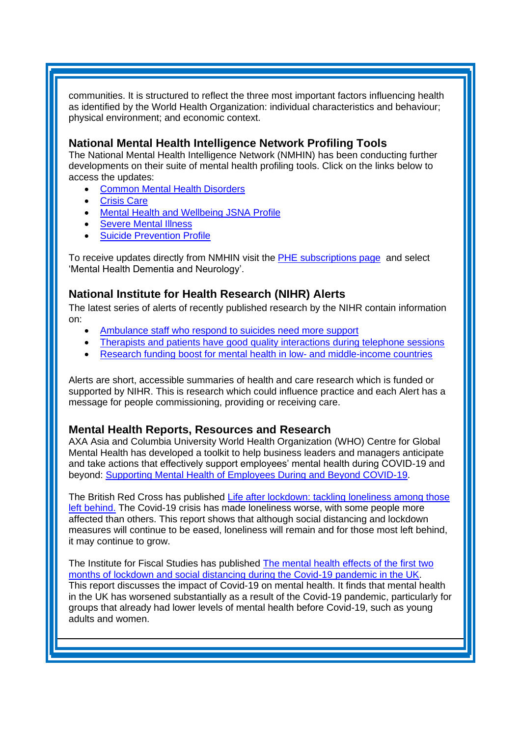communities. It is structured to reflect the three most important factors influencing health as identified by the World Health Organization: individual characteristics and behaviour; physical environment; and economic context.

### **National Mental Health Intelligence Network Profiling Tools**

The National Mental Health Intelligence Network (NMHIN) has been conducting further developments on their suite of mental health profiling tools. Click on the links below to access the updates:

- [Common Mental Health Disorders](http://links.govdelivery.com/track?type=click&enid=ZWFzPTEmbXNpZD0mYXVpZD0mbWFpbGluZ2lkPTIwMTcxMjA1LjgxOTE2MDgxJm1lc3NhZ2VpZD1NREItUFJELUJVTC0yMDE3MTIwNS44MTkxNjA4MSZkYXRhYmFzZWlkPTEwMDEmc2VyaWFsPTE2OTcwMTE4JmVtYWlsaWQ9c2FyYWguYm91bEBuaHMubmV0JnVzZXJpZD1zYXJhaC5ib3VsQG5ocy5uZXQmdGFyZ2V0aWQ9JmZsPSZleHRyYT1NdWx0aXZhcmlhdGVJZD0mJiY=&&&104&&&https://fingertips.phe.org.uk/profile-group/mental-health/profile/common-mental-disorders)
- **[Crisis Care](http://links.govdelivery.com/track?type=click&enid=ZWFzPTEmbXNpZD0mYXVpZD0mbWFpbGluZ2lkPTIwMTcxMjA1LjgxOTE2MDgxJm1lc3NhZ2VpZD1NREItUFJELUJVTC0yMDE3MTIwNS44MTkxNjA4MSZkYXRhYmFzZWlkPTEwMDEmc2VyaWFsPTE2OTcwMTE4JmVtYWlsaWQ9c2FyYWguYm91bEBuaHMubmV0JnVzZXJpZD1zYXJhaC5ib3VsQG5ocy5uZXQmdGFyZ2V0aWQ9JmZsPSZleHRyYT1NdWx0aXZhcmlhdGVJZD0mJiY=&&&105&&&https://fingertips.phe.org.uk/profile-group/mental-health/profile/crisis-care)**
- Mental Health [and Wellbeing JSNA Profile](http://links.govdelivery.com/track?type=click&enid=ZWFzPTEmbXNpZD0mYXVpZD0mbWFpbGluZ2lkPTIwMTcxMjA1LjgxOTE2MDgxJm1lc3NhZ2VpZD1NREItUFJELUJVTC0yMDE3MTIwNS44MTkxNjA4MSZkYXRhYmFzZWlkPTEwMDEmc2VyaWFsPTE2OTcwMTE4JmVtYWlsaWQ9c2FyYWguYm91bEBuaHMubmV0JnVzZXJpZD1zYXJhaC5ib3VsQG5ocy5uZXQmdGFyZ2V0aWQ9JmZsPSZleHRyYT1NdWx0aXZhcmlhdGVJZD0mJiY=&&&106&&&https://fingertips.phe.org.uk/profile-group/mental-health/profile/mh-jsna)
- **[Severe Mental](http://links.govdelivery.com/track?type=click&enid=ZWFzPTEmbXNpZD0mYXVpZD0mbWFpbGluZ2lkPTIwMTcxMjA1LjgxOTE2MDgxJm1lc3NhZ2VpZD1NREItUFJELUJVTC0yMDE3MTIwNS44MTkxNjA4MSZkYXRhYmFzZWlkPTEwMDEmc2VyaWFsPTE2OTcwMTE4JmVtYWlsaWQ9c2FyYWguYm91bEBuaHMubmV0JnVzZXJpZD1zYXJhaC5ib3VsQG5ocy5uZXQmdGFyZ2V0aWQ9JmZsPSZleHRyYT1NdWx0aXZhcmlhdGVJZD0mJiY=&&&108&&&https://fingertips.phe.org.uk/profile-group/mental-health/profile/severe-mental-illness) Illness**
- **[Suicide Prevention Profile](http://links.govdelivery.com/track?type=click&enid=ZWFzPTEmbXNpZD0mYXVpZD0mbWFpbGluZ2lkPTIwMTgwNjA1LjkwNzEwNzExJm1lc3NhZ2VpZD1NREItUFJELUJVTC0yMDE4MDYwNS45MDcxMDcxMSZkYXRhYmFzZWlkPTEwMDEmc2VyaWFsPTE3MDEzODU4JmVtYWlsaWQ9c2FyYWguYm91bEBuaHMubmV0JnVzZXJpZD1zYXJhaC5ib3VsQG5ocy5uZXQmdGFyZ2V0aWQ9JmZsPSZleHRyYT1NdWx0aXZhcmlhdGVJZD0mJiY=&&&104&&&https://fingertips.phe.org.uk/profile-group/mental-health/profile/suicide)**

To receive updates directly from NMHIN visit the [PHE subscriptions page](http://links.govdelivery.com/track?type=click&enid=ZWFzPTEmbXNpZD0mYXVpZD0mbWFpbGluZ2lkPTIwMTgwMjA3Ljg0OTY1MzgxJm1lc3NhZ2VpZD1NREItUFJELUJVTC0yMDE4MDIwNy44NDk2NTM4MSZkYXRhYmFzZWlkPTEwMDEmc2VyaWFsPTE2OTgzNDk5JmVtYWlsaWQ9c2FyYWguYm91bEBuaHMubmV0JnVzZXJpZD1zYXJhaC5ib3VsQG5ocy5uZXQmdGFyZ2V0aWQ9JmZsPSZleHRyYT1NdWx0aXZhcmlhdGVJZD0mJiY=&&&107&&&https://public.govdelivery.com/accounts/UKHPA/subscribers/new?preferences=true) and select 'Mental Health Dementia and Neurology'.

# <span id="page-3-0"></span>**National Institute for Health Research (NIHR) Alerts**

The latest series of alerts of recently published research by the NIHR contain information on:

- [Ambulance staff who respond to suicides need more support](https://nihr.us14.list-manage.com/track/click?u=299dc02111e8a68172029095f&id=e1f6cbaa84&e=219cc58ea4)
- [Therapists and patients have good quality interactions during telephone sessions](https://nihr.us14.list-manage.com/track/click?u=299dc02111e8a68172029095f&id=e4347d8eae&e=219cc58ea4)
- [Research funding boost for mental health in low-](https://nihr.us14.list-manage.com/track/click?u=299dc02111e8a68172029095f&id=af5961bcab&e=219cc58ea4) and middle-income countries

Alerts are short, accessible summaries of health and care research which is funded or supported by NIHR. This is research which could influence practice and each Alert has a message for people commissioning, providing or receiving care.

# <span id="page-3-1"></span>**Mental Health Reports, Resources and Research**

AXA Asia and Columbia University World Health Organization (WHO) Centre for Global Mental Health has developed a toolkit to help business leaders and managers anticipate and take actions that effectively support employees' mental health during COVID-19 and beyond: [Supporting Mental Health of Employees During and Beyond COVID-19.](https://socialfinance.us20.list-manage.com/track/click?u=024c849829985539c838c5118&id=e41312d044&e=524a50c5f3)

The British Red Cross has published [Life after lockdown: tackling loneliness among those](https://www.redcross.org.uk/about-us/what-we-do/we-speak-up-for-change/life-after-lockdown-tackling-loneliness?dm_i=21A8,6X2AR,FLWT3F,RU0IA,1)  [left behind.](https://www.redcross.org.uk/about-us/what-we-do/we-speak-up-for-change/life-after-lockdown-tackling-loneliness?dm_i=21A8,6X2AR,FLWT3F,RU0IA,1) The Covid-19 crisis has made loneliness worse, with some people more affected than others. This report shows that although social distancing and lockdown measures will continue to be eased, loneliness will remain and for those most left behind, it may continue to grow.

The Institute for Fiscal Studies has published [The mental health effects of the first two](https://www.ifs.org.uk/uploads/The-mental-health-effects-of-the-first-two-months-of-lockdown-and-social-distancing-during-the-Covid-19-pandemic-in-the-UK.pdf?utm_source=The%20King%27s%20Fund%20newsletters%20%28main%20account%29&utm_medium=email&utm_campaign=11600248_NEWSL_HWB_2020-06-22&dm_i=21A8,6WMT4,FLWT3F,RRHD7,1)  [months of lockdown and social distancing during the Covid-19 pandemic in the UK.](https://www.ifs.org.uk/uploads/The-mental-health-effects-of-the-first-two-months-of-lockdown-and-social-distancing-during-the-Covid-19-pandemic-in-the-UK.pdf?utm_source=The%20King%27s%20Fund%20newsletters%20%28main%20account%29&utm_medium=email&utm_campaign=11600248_NEWSL_HWB_2020-06-22&dm_i=21A8,6WMT4,FLWT3F,RRHD7,1) This report discusses the impact of Covid-19 on mental health. It finds that mental health in the UK has worsened substantially as a result of the Covid-19 pandemic, particularly for groups that already had lower levels of mental health before Covid-19, such as young adults and women.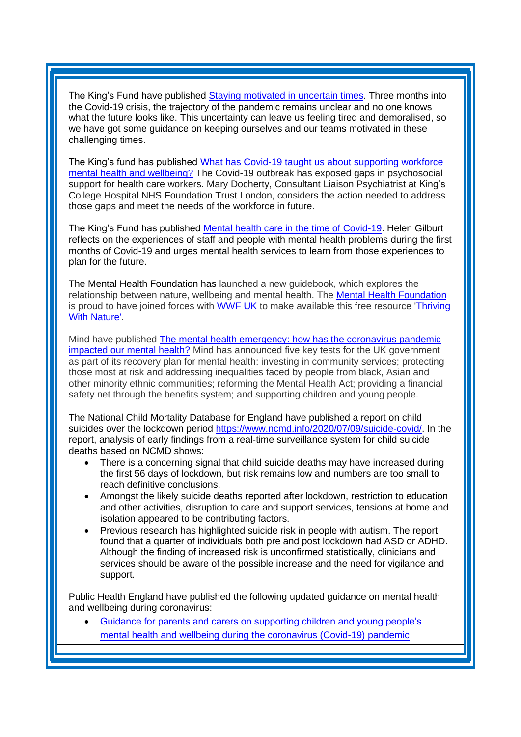The King's Fund have published [Staying motivated in uncertain times.](https://kingsfundmail.org.uk/21A8-6X4JS-FLWT3F-43HWH9-1/c.aspx) Three months into the Covid-19 crisis, the trajectory of the pandemic remains unclear and no one knows what the future looks like. This uncertainty can leave us feeling tired and demoralised, so we have got some guidance on keeping ourselves and our teams motivated in these challenging times.

The King's fund has published [What has Covid-19 taught us about supporting workforce](https://kingsfundmail.org.uk/21A8-6XLG8-FLWT3F-43UIGL-1/c.aspx)  [mental health and wellbeing?](https://kingsfundmail.org.uk/21A8-6XLG8-FLWT3F-43UIGL-1/c.aspx) The Covid-19 outbreak has exposed gaps in psychosocial support for health care workers. Mary Docherty, Consultant Liaison Psychiatrist at King's College Hospital NHS Foundation Trust London, considers the action needed to address those gaps and meet the needs of the workforce in future.

The King's Fund has published [Mental health care in the time of Covid-19.](https://kingsfundmail.org.uk/21A8-6XRTT-FLWT3F-44266M-1/c.aspx) Helen Gilburt reflects on the experiences of staff and people with mental health problems during the first months of Covid-19 and urges mental health services to learn from those experiences to plan for the future.

The Mental Health Foundation has launched a new guidebook, which explores the relationship between nature, wellbeing and mental health. The [Mental Health Foundation](https://bbox.blackbaudhosting.com/webforms/service/page.redir?target=https%3a%2f%2fwww.mentalhealth.org.uk%2f&srcid=22797689&srctid=1&erid=1555443917&trid=fde0652e-bb2b-43e0-b41d-aefed2e2ed81) is proud to have joined forces with [WWF UK](https://bbox.blackbaudhosting.com/webforms/linkredirect?url=https%3a%2f%2fwww.wwf.org.uk%2f&srcid=22797689&srctid=1&erid=1555443917&trid=fde0652e-bb2b-43e0-b41d-aefed2e2ed81&linkid=230928972&isbbox=1) to make available this free resource 'Thriving [With Nature'.](https://bbox.blackbaudhosting.com/webforms/linkredirect?url=https%3a%2f%2fwww.mentalhealth.org.uk%2fcampaigns%2fthriving-with-nature&srcid=22797689&srctid=1&erid=1555443917&trid=fde0652e-bb2b-43e0-b41d-aefed2e2ed81&linkid=230928973&isbbox=1)

Mind have published The mental health emergency: how has the coronavirus pandemic [impacted our mental health?](https://www.mind.org.uk/media-a/5929/the-mental-health-emergency_a4_final.pdf?utm_source=The%20King%27s%20Fund%20newsletters%20%28main%20account%29&utm_medium=email&utm_campaign=11636840_NEWSL_HWB_2020-07-06&dm_i=21A8,6XF1K,FLWT3F,RWHKU,1) Mind has announced five key tests for the UK government as part of its recovery plan for mental health: investing in community services; protecting those most at risk and addressing inequalities faced by people from black, Asian and other minority ethnic communities; reforming the Mental Health Act; providing a financial safety net through the benefits system; and supporting children and young people.

The National Child Mortality Database for England have published a report on child suicides over the lockdown period [https://www.ncmd.info/2020/07/09/suicide-covid/.](https://www.ncmd.info/2020/07/09/suicide-covid/) In the report, analysis of early findings from a real-time surveillance system for child suicide deaths based on NCMD shows:

- There is a concerning signal that child suicide deaths may have increased during the first 56 days of lockdown, but risk remains low and numbers are too small to reach definitive conclusions.
- Amongst the likely suicide deaths reported after lockdown, restriction to education and other activities, disruption to care and support services, tensions at home and isolation appeared to be contributing factors.
- Previous research has highlighted suicide risk in people with autism. The report found that a quarter of individuals both pre and post lockdown had ASD or ADHD. Although the finding of increased risk is unconfirmed statistically, clinicians and services should be aware of the possible increase and the need for vigilance and support.

Public Health England have published the following updated guidance on mental health and wellbeing during coronavirus:

• [Guidance for parents and carers on supporting children and young people's](https://kingsfundmail.org.uk/21A8-6XG3J-FLWT3F-43QT4B-1/c.aspx)  [mental health and wellbeing during the coronavirus \(Covid-19\) pandemic](https://kingsfundmail.org.uk/21A8-6XG3J-FLWT3F-43QT4B-1/c.aspx)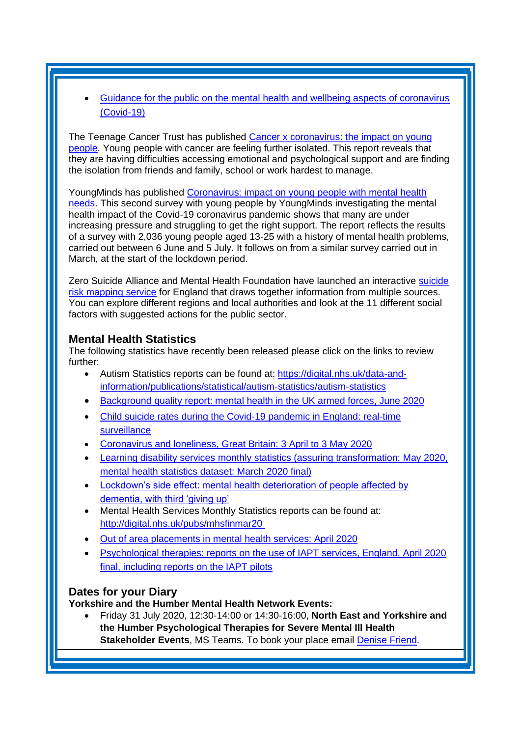• [Guidance for the public on the mental health and wellbeing aspects of coronavirus](https://kingsfundmail.org.uk/21A8-6XG3J-FLWT3F-43R014-1/c.aspx)  [\(Covid-19\)](https://kingsfundmail.org.uk/21A8-6XG3J-FLWT3F-43R014-1/c.aspx)

The Teenage Cancer Trust has published [Cancer x coronavirus: the impact on young](https://www.teenagecancertrust.org/sites/default/files/Cancer-coronavirus-report-June-2020-Teenage-Cancer-Trust.pdf?utm_source=The%20King%27s%20Fund%20newsletters%20%28main%20account%29&utm_medium=email&utm_campaign=11620323_NEWSL_HMP%202020-06-23&dm_i=21A8,6X2AR,FLWT3F,RU55F,1)  [people.](https://www.teenagecancertrust.org/sites/default/files/Cancer-coronavirus-report-June-2020-Teenage-Cancer-Trust.pdf?utm_source=The%20King%27s%20Fund%20newsletters%20%28main%20account%29&utm_medium=email&utm_campaign=11620323_NEWSL_HMP%202020-06-23&dm_i=21A8,6X2AR,FLWT3F,RU55F,1) Young people with cancer are feeling further isolated. This report reveals that they are having difficulties accessing emotional and psychological support and are finding the isolation from friends and family, school or work hardest to manage.

YoungMinds has published [Coronavirus: impact on young people with mental health](https://youngminds.org.uk/media/3904/coronavirus-report-summer-2020-final.pdf?utm_source=The%20King%27s%20Fund%20newsletters%20%28main%20account%29&utm_medium=email&utm_campaign=11677797_NEWSL_HMP%202020-07-17&dm_i=21A8,6YAN9,FLWT3F,RZK45,1)  [needs.](https://youngminds.org.uk/media/3904/coronavirus-report-summer-2020-final.pdf?utm_source=The%20King%27s%20Fund%20newsletters%20%28main%20account%29&utm_medium=email&utm_campaign=11677797_NEWSL_HMP%202020-07-17&dm_i=21A8,6YAN9,FLWT3F,RZK45,1) This second survey with young people by YoungMinds investigating the mental health impact of the Covid-19 coronavirus pandemic shows that many are under increasing pressure and struggling to get the right support. The report reflects the results of a survey with 2,036 young people aged 13-25 with a history of mental health problems, carried out between 6 June and 5 July. It follows on from a similar survey carried out in March, at the start of the lockdown period.

Zero Suicide Alliance and Mental Health Foundation have launched an interactive suicide [risk mapping service](https://www.zerosuicidealliance.com/ZSA-Resources/map-view) for England that draws together information from multiple sources. You can explore different regions and local authorities and look at the 11 different social factors with suggested actions for the public sector.

# <span id="page-5-0"></span>**Mental Health Statistics**

The following statistics have recently been released please click on the links to review further:

- Autism Statistics reports can be found at: [https://digital.nhs.uk/data-and](https://elinkeu.clickdimensions.com/c/6/?T=NTgyNTUzNzk%3AcDEtYjIwMTI2LTk2ODI5NWM0ZDc0ZDRhNmFiY2M5ZjcxZTgwNWQ1NjQz%3Ac2FyYWguYm91bEBuaHMubmV0%3AY29udGFjdC0wMWE0ZjMzNGMyMzVlOTExYTllNTAwMGQzYTJiYmRhMS1mYTBkNjhmZDY0OWI0MjI3OTE4OTJjMDdjNjMwNjJhOA%3AZmFsc2U%3AMjM%3A%3AaHR0cHM6Ly9kaWdpdGFsLm5ocy51ay9kYXRhLWFuZC1pbmZvcm1hdGlvbi9wdWJsaWNhdGlvbnMvc3RhdGlzdGljYWwvYXV0aXNtLXN0YXRpc3RpY3MvYXV0aXNtLXN0YXRpc3RpY3M_X2NsZGVlPWMyRnlZV2d1WW05MWJFQnVhSE11Ym1WMCZyZWNpcGllbnRpZD1jb250YWN0LTAxYTRmMzM0YzIzNWU5MTFhOWU1MDAwZDNhMmJiZGExLWZhMGQ2OGZkNjQ5YjQyMjc5MTg5MmMwN2M2MzA2MmE4JmVzaWQ9MzBjZjg2ZjEtZTk4ZC1lYTExLWE4MTEtMDAwZDNhODZiNDEw&K=gLmQMjFPWOX0bSJDu76Dug)[information/publications/statistical/autism-statistics/autism-statistics](https://elinkeu.clickdimensions.com/c/6/?T=NTgyNTUzNzk%3AcDEtYjIwMTI2LTk2ODI5NWM0ZDc0ZDRhNmFiY2M5ZjcxZTgwNWQ1NjQz%3Ac2FyYWguYm91bEBuaHMubmV0%3AY29udGFjdC0wMWE0ZjMzNGMyMzVlOTExYTllNTAwMGQzYTJiYmRhMS1mYTBkNjhmZDY0OWI0MjI3OTE4OTJjMDdjNjMwNjJhOA%3AZmFsc2U%3AMjM%3A%3AaHR0cHM6Ly9kaWdpdGFsLm5ocy51ay9kYXRhLWFuZC1pbmZvcm1hdGlvbi9wdWJsaWNhdGlvbnMvc3RhdGlzdGljYWwvYXV0aXNtLXN0YXRpc3RpY3MvYXV0aXNtLXN0YXRpc3RpY3M_X2NsZGVlPWMyRnlZV2d1WW05MWJFQnVhSE11Ym1WMCZyZWNpcGllbnRpZD1jb250YWN0LTAxYTRmMzM0YzIzNWU5MTFhOWU1MDAwZDNhMmJiZGExLWZhMGQ2OGZkNjQ5YjQyMjc5MTg5MmMwN2M2MzA2MmE4JmVzaWQ9MzBjZjg2ZjEtZTk4ZC1lYTExLWE4MTEtMDAwZDNhODZiNDEw&K=gLmQMjFPWOX0bSJDu76Dug)
- [Background quality report: mental health in the UK armed forces, June 2020](https://kingsfundmail.org.uk/21A8-6WY1E-FLWT3F-43EYTS-1/c.aspx)
- [Child suicide rates during the Covid-19 pandemic in England: real-time](https://kingsfundmail.org.uk/21A8-6YAN9-FLWT3F-44ID98-1/c.aspx)  [surveillance](https://kingsfundmail.org.uk/21A8-6YAN9-FLWT3F-44ID98-1/c.aspx)
- [Coronavirus and loneliness, Great Britain: 3 April to 3 May 2020](https://kingsfundmail.org.uk/21A8-6WE80-FLWT3F-430TT3-1/c.aspx)
- [Learning disability services monthly statistics \(assuring transformation: May 2020,](https://kingsfundmail.org.uk/21A8-6WY1E-FLWT3F-43EXZS-1/c.aspx)  [mental health statistics dataset: March 2020 final\)](https://kingsfundmail.org.uk/21A8-6WY1E-FLWT3F-43EXZS-1/c.aspx)
- Lockdown's side effect: mental health deterioration of people affected by [dementia, with third 'giving up'](https://kingsfundmail.org.uk/21A8-6YAN9-FLWT3F-44H9ZK-1/c.aspx)
- Mental Health Services Monthly Statistics reports can be found at: [http://digital.nhs.uk/pubs/mhsfinmar20](https://elinkeu.clickdimensions.com/c/6/?T=NTgyNTUzNzk%3AcDEtYjIwMTU1LWJlZjFjZmJkNDk2NjQ0ZjU4OTZjYzc5YTgyOGFkMzNi%3Ac2FyYWguYm91bEBuaHMubmV0%3AY29udGFjdC0wMWE0ZjMzNGMyMzVlOTExYTllNTAwMGQzYTJiYmRhMS05N2IwYzgwYTljM2Q0MzBkOWJkM2FkNTkxY2MzYjU3Yg%3AZmFsc2U%3AMjE%3A%3AaHR0cDovL2RpZ2l0YWwubmhzLnVrL3B1YnMvbWhzZmlubWFyMjAlQzIlQTA_X2NsZGVlPWMyRnlZV2d1WW05MWJFQnVhSE11Ym1WMCZyZWNpcGllbnRpZD1jb250YWN0LTAxYTRmMzM0YzIzNWU5MTFhOWU1MDAwZDNhMmJiZGExLTk3YjBjODBhOWMzZDQzMGQ5YmQzYWQ1OTFjYzNiNTdiJmVzaWQ9Njg1MjQ2ZjgtMGZhMC1lYTExLWE4MTItMDAwZDNhODZiNDEw&K=e1PhSLqFYQ7hgAJZtPBOtQ)
- [Out of area placements in mental health services: April 2020](https://kingsfundmail.org.uk/21A8-6XX9W-FLWT3F-44AJIG-1/c.aspx)
- [Psychological therapies: reports on the use of IAPT services, England, April 2020](https://kingsfundmail.org.uk/21A8-6XX9W-FLWT3F-44AJAZ-1/c.aspx)  [final, including reports on the IAPT pilots](https://kingsfundmail.org.uk/21A8-6XX9W-FLWT3F-44AJAZ-1/c.aspx)

# <span id="page-5-1"></span>**Dates for your Diary**

**Yorkshire and the Humber Mental Health Network Events:**

• Friday 31 July 2020, 12:30-14:00 or 14:30-16:00, **North East and Yorkshire and the Humber Psychological Therapies for Severe Mental Ill Health Stakeholder Events**, MS Teams. To book your place email [Denise Friend.](mailto:denise.friend@nhs.net)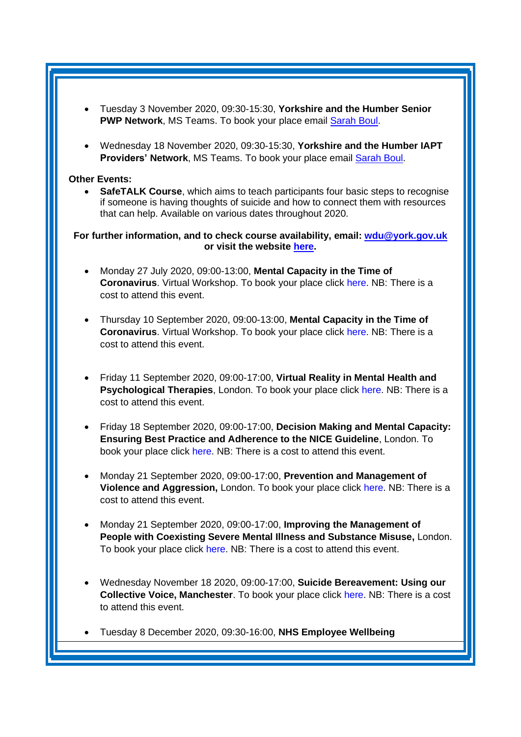- Tuesday 3 November 2020, 09:30-15:30, **Yorkshire and the Humber Senior PWP Network**, MS Teams. To book your place email [Sarah Boul.](mailto:sarah.boul@nhs.net)
- Wednesday 18 November 2020, 09:30-15:30, **Yorkshire and the Humber IAPT Providers' Network**, MS Teams. To book your place email [Sarah Boul.](mailto:sarah.boul@nhs.net)

#### **Other Events:**

• **SafeTALK Course**, which aims to teach participants four basic steps to recognise if someone is having thoughts of suicide and how to connect them with resources that can help. Available on various dates throughout 2020.

**For further information, and to check course availability, email: [wdu@york.gov.uk](mailto:wdu@york.gov.uk) or visit the website [here.](http://www.yorkworkforcedevelopment.org.uk/)**

- Monday 27 July 2020, 09:00-13:00, **Mental Capacity in the Time of Coronavirus**. Virtual Workshop. To book your place click [here.](https://www.healthcareconferencesuk.co.uk/assets/conferences-and-masterclasses/masterclasses/brochure-file-pdf/mental-capacity-2020-masterclass.pdf) NB: There is a cost to attend this event.
- Thursday 10 September 2020, 09:00-13:00, **Mental Capacity in the Time of Coronavirus**. Virtual Workshop. To book your place click [here.](https://www.healthcareconferencesuk.co.uk/assets/conferences-and-masterclasses/masterclasses/brochure-file-pdf/mental-capacity-2020-masterclass.pdf) NB: There is a cost to attend this event.
- Friday 11 September 2020, 09:00-17:00, **Virtual Reality in Mental Health and Psychological Therapies**, London. To book your place click [here.](https://www.healthcareconferencesuk.co.uk/conferences-masterclasses/virtual-reality-mental-health/book/west-one-de-vere-conference-centre-london-2020-9-11?utm_medium=email&utm_source=HCUKkt&utm_campaign=VM0920) NB: There is a cost to attend this event.
- Friday 18 September 2020, 09:00-17:00, **Decision Making and Mental Capacity: Ensuring Best Practice and Adherence to the NICE Guideline**, London. To book your place click [here.](https://www.healthcareconferencesuk.co.uk/conferences-masterclasses/prevention-and-management-of-violence-and-aggression-pmva-masterclass/book/the-studio-conference-centre-birmingham-2020-5-12?utm_medium=email&utm_source=HCUKKH&utm_campaign=PMVAMay2020) NB: There is a cost to attend this event.
- Monday 21 September 2020, 09:00-17:00, **Prevention and Management of Violence and Aggression,** London. To book your place click [here.](https://www.healthcareconferencesuk.co.uk/conferences-masterclasses/prevention-and-management-of-violence-and-aggression-pmva-masterclass/book/the-studio-conference-centre-birmingham-2020-5-12?utm_medium=email&utm_source=HCUKKH&utm_campaign=PMVAMay2020) NB: There is a cost to attend this event.
- Monday 21 September 2020, 09:00-17:00, **Improving the Management of People with Coexisting Severe Mental Illness and Substance Misuse,** London. To book your place click [here.](https://www.healthcareconferencesuk.co.uk/conferences-masterclasses/coexisting-severe-mental-illness-and-substance-misuse/book/central-venue-london-2020-9-21?utm_medium=email&utm_source=HCUKKH&utm_campaign=HCCoexSMISepp2020) NB: There is a cost to attend this event.
- Wednesday November 18 2020, 09:00-17:00, **Suicide Bereavement: Using our Collective Voice, Manchester**. To book your place click [here.](https://suicidebereavementuk.com/suicide-bereavement-conference) NB: There is a cost to attend this event.
- Tuesday 8 December 2020, 09:30-16:00, **NHS Employee Wellbeing**